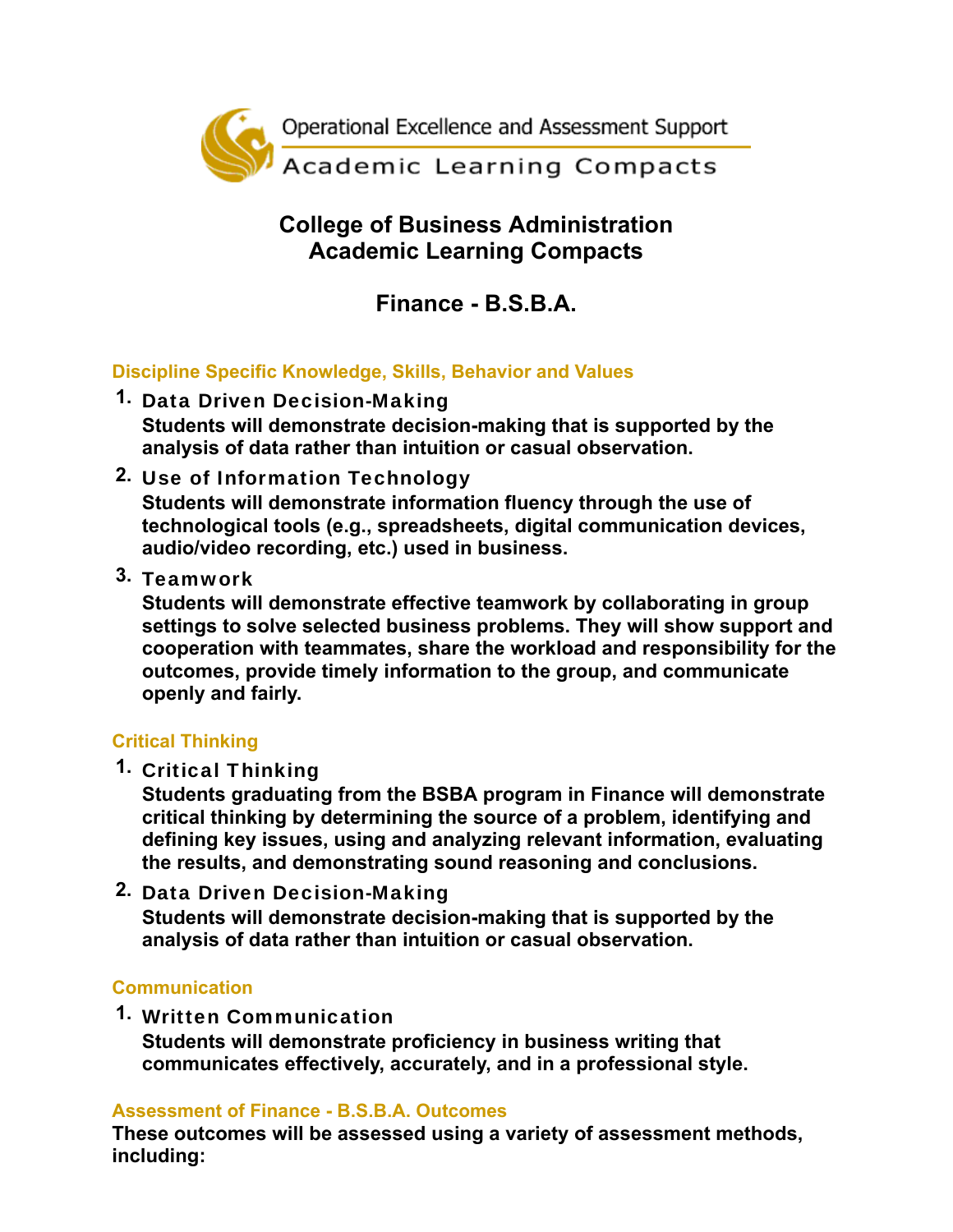

## **College of Business Administration Academic Learning Compacts**

# **Finance - B.S.B.A.**

### **Discipline Specific Knowledge, Skills, Behavior and Values**

- **1.** Data Driven Decision-Making **Students will demonstrate decision-making that is supported by the analysis of data rather than intuition or casual observation.**
- **2.** Use of Information Technology

**Students will demonstrate information fluency through the use of technological tools (e.g., spreadsheets, digital communication devices, audio/video recording, etc.) used in business.**

**3.** Teamwork

**Students will demonstrate effective teamwork by collaborating in group settings to solve selected business problems. They will show support and cooperation with teammates, share the workload and responsibility for the outcomes, provide timely information to the group, and communicate openly and fairly.**

## **Critical Thinking**

**1.** Critical Thinking

**Students graduating from the BSBA program in Finance will demonstrate critical thinking by determining the source of a problem, identifying and defining key issues, using and analyzing relevant information, evaluating the results, and demonstrating sound reasoning and conclusions.**

**2.** Data Driven Decision-Making **Students will demonstrate decision-making that is supported by the analysis of data rather than intuition or casual observation.**

#### **Communication**

**1.** Written Communication

**Students will demonstrate proficiency in business writing that communicates effectively, accurately, and in a professional style.**

#### **Assessment of Finance - B.S.B.A. Outcomes**

**These outcomes will be assessed using a variety of assessment methods, including:**